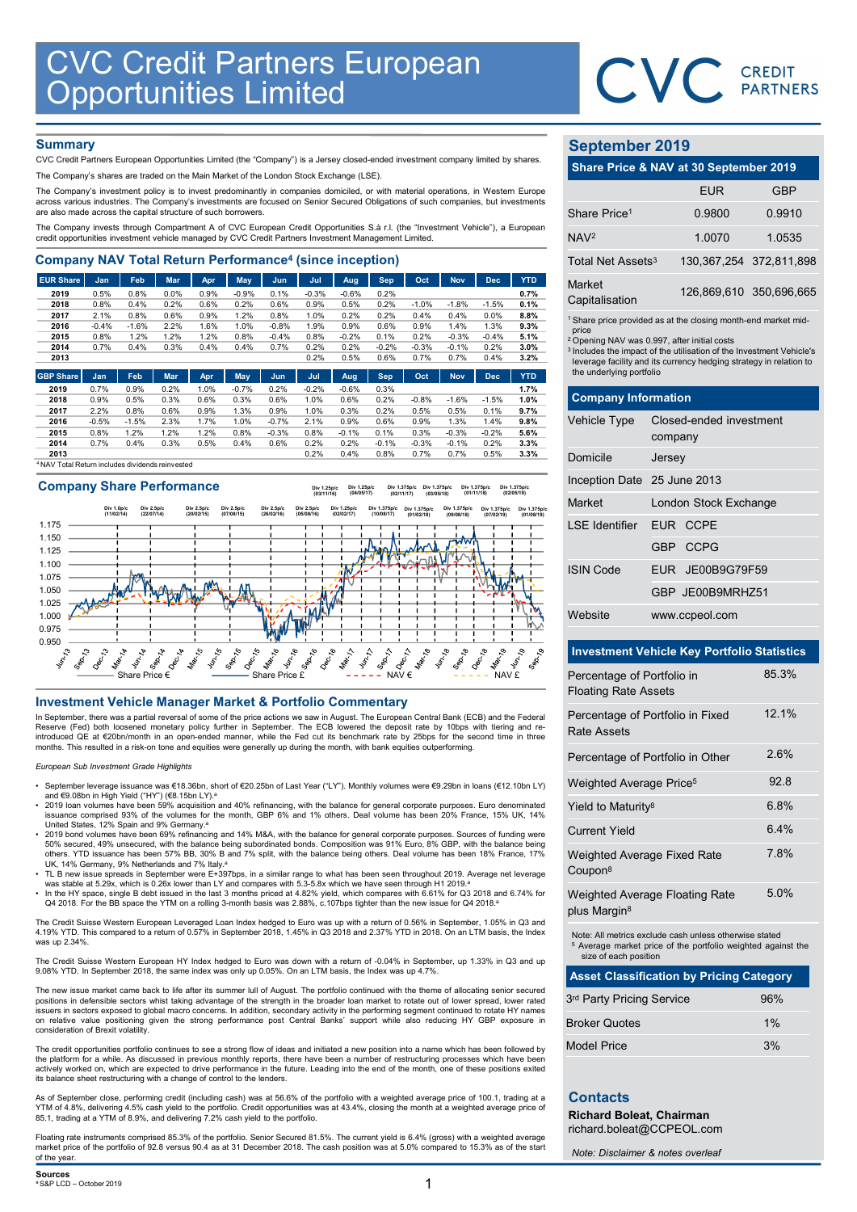

## **Summary**

| <b>CVC Credit Partners European<br/>Opportunities Limited</b>                                                                                                                                                                                                          |              |              |              |              |                 |              |                 |                 |                 |                 |                 |                 |              |                               | CVC CREDIT                                                                    |            |
|------------------------------------------------------------------------------------------------------------------------------------------------------------------------------------------------------------------------------------------------------------------------|--------------|--------------|--------------|--------------|-----------------|--------------|-----------------|-----------------|-----------------|-----------------|-----------------|-----------------|--------------|-------------------------------|-------------------------------------------------------------------------------|------------|
|                                                                                                                                                                                                                                                                        |              |              |              |              |                 |              |                 |                 |                 |                 |                 |                 |              |                               |                                                                               |            |
|                                                                                                                                                                                                                                                                        |              |              |              |              |                 |              |                 |                 |                 |                 |                 |                 |              |                               |                                                                               |            |
|                                                                                                                                                                                                                                                                        |              |              |              |              |                 |              |                 |                 |                 |                 |                 |                 |              |                               |                                                                               |            |
| <b>Summary</b>                                                                                                                                                                                                                                                         |              |              |              |              |                 |              |                 |                 |                 |                 |                 |                 |              | <b>September 2019</b>         |                                                                               |            |
| CVC Credit Partners European Opportunities Limited (the "Company") is a Jersey closed-ended investment company limited by shares.                                                                                                                                      |              |              |              |              |                 |              |                 |                 |                 |                 |                 |                 |              |                               | Share Price & NAV at 30 September 2019                                        |            |
| The Company's shares are traded on the Main Market of the London Stock Exchange (LSE).                                                                                                                                                                                 |              |              |              |              |                 |              |                 |                 |                 |                 |                 |                 |              |                               |                                                                               |            |
| The Company's investment policy is to invest predominantly in companies domiciled, or with material operations, in Western Europe<br>across various industries. The Company's investments are focused on Senior Secured Obligations of such companies, but investments |              |              |              |              |                 |              |                 |                 |                 |                 |                 |                 |              |                               | <b>EUR</b>                                                                    | <b>GBP</b> |
| are also made across the capital structure of such borrowers.                                                                                                                                                                                                          |              |              |              |              |                 |              |                 |                 |                 |                 |                 |                 |              | Share Price <sup>1</sup>      | 0.9800                                                                        | 0.9910     |
| The Company invests through Compartment A of CVC European Credit Opportunities S.à r.l. (the "Investment Vehicle"), a European<br>credit opportunities investment vehicle managed by CVC Credit Partners Investment Management Limited.                                |              |              |              |              |                 |              |                 |                 |                 |                 |                 |                 |              | NAV <sup>2</sup>              | 1.0070                                                                        | 1.0535     |
| <b>Company NAV Total Return Performance<sup>4</sup> (since inception)</b>                                                                                                                                                                                              |              |              |              |              |                 |              |                 |                 |                 |                 |                 |                 |              | Total Net Assets <sup>3</sup> | 130, 367, 254 372, 811, 89                                                    |            |
| <b>EUR Share</b>                                                                                                                                                                                                                                                       | Jan          | Feb          | <b>Mar</b>   | Apr          | <b>May</b>      | Jun          | Jul             | Aug             | Sep             | Oct             | <b>Nov</b>      | <b>Dec</b>      | <b>YTD</b>   | Market                        |                                                                               |            |
| 2019<br>2018                                                                                                                                                                                                                                                           | 0.5%<br>0.8% | 0.8%<br>0.4% | 0.0%<br>0.2% | 0.9%<br>0.6% | $-0.9%$<br>0.2% | 0.1%<br>0.6% | $-0.3%$<br>0.9% | $-0.6%$<br>0.5% | 0.2%<br>0.2%    | $-1.0%$         | $-1.8%$         | $-1.5%$         | 0.7%<br>0.1% | Capitalisation                | 126,869,610 350,696,66                                                        |            |
| 2017                                                                                                                                                                                                                                                                   | 2.1%         | 0.8%         | 0.6%         | 0.9%         | 1.2%            | 0.8%         | 1.0%            | 0.2%            | 0.2%            | 0.4%            | 0.4%            | 0.0%            | 8.8%         |                               |                                                                               |            |
| 2016                                                                                                                                                                                                                                                                   | $-0.4%$      | $-1.6%$      | 2.2%         | 1.6%         | 1.0%            | $-0.8%$      | 1.9%            | 0.9%            | 0.6%            | 0.9%            | 1.4%            | 1.3%            | 9.3%         | price                         | <sup>1</sup> Share price provided as at the closing month-end market mid      |            |
| 2015                                                                                                                                                                                                                                                                   | 0.8%         | 1.2%         | 1.2%         | 1.2%         | 0.8%            | $-0.4%$      | 0.8%            | $-0.2%$         | 0.1%            | 0.2%            | $-0.3%$         | $-0.4%$         | 5.1%         |                               | <sup>2</sup> Opening NAV was 0.997, after initial costs                       |            |
| 2014<br>2013                                                                                                                                                                                                                                                           | 0.7%         | 0.4%         | 0.3%         | 0.4%         | 0.4%            | 0.7%         | 0.2%<br>0.2%    | 0.2%<br>0.5%    | $-0.2%$<br>0.6% | $-0.3%$<br>0.7% | $-0.1%$<br>0.7% | 0.2%<br>0.4%    | 3.0%<br>3.2% |                               | <sup>3</sup> Includes the impact of the utilisation of the Investment Vehicle |            |
|                                                                                                                                                                                                                                                                        |              |              |              |              |                 |              |                 |                 |                 |                 |                 |                 |              | the underlying portfolio      | leverage facility and its currency hedging strategy in relation t             |            |
| <b>GBP Share</b>                                                                                                                                                                                                                                                       | Jan          | Feb          | Mar          | Apr          | May             | Jun          | Jul             | Aug             | <b>Sep</b>      | Oct             | <b>Nov</b>      | <b>Dec</b>      | <b>YTD</b>   |                               |                                                                               |            |
| 2019                                                                                                                                                                                                                                                                   | 0.7%         | 0.9%         | 0.2%         | 1.0%         | $-0.7%$         | 0.2%         | $-0.2%$         | $-0.6%$         | 0.3%            |                 |                 |                 | 1.7%         |                               |                                                                               |            |
| 2018                                                                                                                                                                                                                                                                   | 0.9%<br>2.2% | 0.5%<br>0.8% | 0.3%<br>0.6% | 0.6%<br>0.9% | 0.3%            | 0.6%<br>0.9% | 1.0%<br>1.0%    | 0.6%<br>0.3%    | 0.2%<br>0.2%    | $-0.8%$<br>0.5% | $-1.6%$<br>0.5% | $-1.5%$<br>0.1% | 1.0%         | <b>Company Information</b>    |                                                                               |            |
| 2017<br>2016                                                                                                                                                                                                                                                           | $-0.5%$      | $-1.5%$      | 2.3%         | 1.7%         | 1.3%<br>1.0%    | $-0.7%$      | 2.1%            | 0.9%            | 0.6%            | 0.9%            | 1.3%            | 1.4%            | 9.7%<br>9.8% | <b>Vehicle Type</b>           | Closed-ended investment                                                       |            |
| 2015                                                                                                                                                                                                                                                                   | 0.8%         | 1.2%         | 1.2%         | 1.2%         | 0.8%            | $-0.3%$      | 0.8%            | $-0.1%$         | 0.1%            | 0.3%            | $-0.3%$         | $-0.2%$         | 5.6%         |                               |                                                                               |            |
| 2014                                                                                                                                                                                                                                                                   | 0.7%         | 0.4%         | 0.3%         | 0.5%         | 0.4%            | 0.6%         | 0.2%            | 0.2%            | $-0.1%$         | $-0.3%$         | $-0.1%$         | 0.2%            | 3.3%         |                               | company                                                                       |            |
| 2013                                                                                                                                                                                                                                                                   |              |              |              |              |                 |              | 0.2%            | 0.4%            | 0.8%            | 0.7%            | 0.7%            | 0.5%            | 3.3%         | Domicile                      | larcay                                                                        |            |

<sup>4</sup>NAV Total Return includes dividends reinvested

### Company Share Performance INVESTIGATION THE USE CONFERENCE INTERNATION COMMENT CONFERENCE INTO A CONFERENCE INTERNATION CONFERENCE INTO A CONFERENCE INTERNATION CONFERENCE INTERNATION CONFERENCE INTO A CONFERENCE INTERNATION CONFERENCE INTO A CO 0.950 0.975 1.000 1.025 1.050 1.075 1.100 1.125 1.150 1.175 Share Price  $\epsilon$   $\qquad \qquad$  Share Price £  $\qquad \qquad$   $\qquad$   $\qquad$   $\qquad$   $\qquad$   $\qquad$   $\qquad$   $\qquad$   $\qquad$   $\qquad$   $\qquad$   $\qquad$   $\qquad$   $\qquad$   $\qquad$   $\qquad$   $\qquad$   $\qquad$   $\qquad$   $\qquad$   $\qquad$   $\qquad$   $\qquad$   $\qquad$   $\qquad$   $\qquad$   $\qquad$   $\qquad$   $\qquad$   $\qquad$ Div 1.0p/c (11/02/14) Div 2.5p/c (22/07/14) Div 2.5p/c (20/02/15) Div 2.5p/c (07/08/15) Div 2.5p/c (26/02/16) Div 2.5p/c (05/08/16) Div 1.25p/c (03/11/16) Div 1.25p/c (02/02/17) Div 1.25p/c (04/05/17) Div 1.375p/c (10/08/17) Div 1.375p/c (02/11/17) Div 1.375p/c (01/02/18) Div 1.375p/c (03/05/18) Div 1.375p/c (09/08/18) Div 1.375p/c (01/11/18) Div 1.375p/c (07/02/19) Div 1.375p/c (02/05/19) Div 1.375p/c (01/08/19)

In September, there was a partial reversal of some of the price actions we saw in August. The European Central Bank (ECB) and the Federal Reserve (Fed) both loosened monetary policy further in September. The ECB lowered the deposit rate by 10bps with tiering and re-<br>introduced QE at €20bn/month in an open-ended manner, while the Fed cut its benchmark rate b modes a determinant in an eponemical manner, mine and red car he sendimant rate by Europe for the commuths. This resulted in a risk-on tone and equities were generally up during the month, with bank equities outperforming.

European Sub Investment Grade Highlights

- September leverage issuance was €18.36bn, short of €20.25bn of Last Year ("LY"). Monthly volumes were €9.29bn in loans (€12.10bn LY) and €9.08bn in High Yield ("HY") (€8.15bn LY).<sup>a</sup>
- 2019 loan volumes have been 59% acquisition and 40% refinancing, with the balance for general corporate purposes. Euro denominated<br>Issuance comprised 93% of the volumes for the month, GBP 6% and 1% others. Deal volume h United States, 12% Spain and 9% Germany.<sup>a</sup>
- .<br>190% Secured, 49% unsecured, with the balance being subordinated bonds. Composition was 91% Euro, 8% GBP, with the balance being & 50% secured, 49% unsecured, with the balance being others. YTD issuance has been 57% BB, 30% B and 7% split, with the balance being others. Deal volume has been 18% France, 17%
- UK, 14% Germany, 9% Netherlands and 7% Italy.<sup>a</sup> TL B new issue spreads in September were E+397bps, in a similar range to what has been seen throughout 2019. Average net leverage was stable at 5.29x, which is 0.26x lower than LY and compares with 5.3-5.8x which we have seen through H1 2019.ª<br>In the HY space, single B debt issued in the last 3 months priced at 4.82% yield, which compares with 6.61%
- Q4 2018. For the BB space the YTM on a rolling 3-month basis was 2.88%, c.107bps tighter than the new issue for Q4 2018.

The Credit Suisse Western European Leveraged Loan Index hedged to Euro was up with a return of 0.56% in September, 1.05% in Q3 and<br>4.19% YTD. This compared to a return of 0.57% in September 2018, 1.45% in Q3 2018 and 2.37% was up 2.34%

The Credit Suisse Western European HY Index hedged to Euro was down with a return of -0.04% in September, up 1.33% in Q3 and up 9.08% YTD. In September 2018, the same index was only up 0.05%. On an LTM basis, the Index was up 4.7%.

The new issue market came back to life after its summer lull of August. The portfolio continued with the theme of allocating senior secured positions in defensible sectors whist taking advantage of the strength in the broader loan market to rotate out of lower spread, lower rated<br>issuers in sectors exposed to global macro concerns. In addition, secondary activ on relative value positioning given the strong performance post Central Banks' support while also reducing HY GBP exposure in consideration of Brexit volatility.

The credit opportunities portfolio continues to see a strong flow of ideas and initiated a new position into a name which has been followed by<br>the platform for a while. As discussed in previous monthly reports, there have actively worked on, which are expected to drive performance in the future. Leading into the end of the month, one of these positions exited its balance sheet restructuring with a change of control to the lenders.

As of September close, performing credit (including cash) was at 56.6% of the portfolio with a weighted average price of 100.1, trading at a<br>YTM of 4.8%, delivering 4.5% cash yield to the portfolio. Credit opportunities wa 85.1, trading at a YTM of 8.9%, and delivering 7.2% cash yield to the portfolio.

Floating rate instruments comprised 85.3% of the portfolio. Senior Secured 81.5%. The current yield is 6.4% (gross) with a weighted average<br>market price of the portfolio of 92.8 versus 90.4 as at 31 December 2018. The cash of the year.

# September 2019

|                               | CVC CREDIT                                                                                                                                                                                                       |                             |
|-------------------------------|------------------------------------------------------------------------------------------------------------------------------------------------------------------------------------------------------------------|-----------------------------|
|                               |                                                                                                                                                                                                                  |                             |
|                               |                                                                                                                                                                                                                  |                             |
| <b>September 2019</b>         |                                                                                                                                                                                                                  |                             |
|                               | Share Price & NAV at 30 September 2019                                                                                                                                                                           |                             |
|                               | <b>EUR</b>                                                                                                                                                                                                       | <b>GBP</b>                  |
| Share Price <sup>1</sup>      | 0.9800                                                                                                                                                                                                           | 0.9910                      |
| NAV <sup>2</sup>              | 1.0070                                                                                                                                                                                                           | 1.0535                      |
| Total Net Assets <sup>3</sup> |                                                                                                                                                                                                                  | 130, 367, 254 372, 811, 898 |
| Market<br>Capitalisation      |                                                                                                                                                                                                                  | 126,869,610 350,696,665     |
| price                         | <sup>1</sup> Share price provided as at the closing month-end market mid-                                                                                                                                        |                             |
| the underlying portfolio      | <sup>2</sup> Opening NAV was 0.997, after initial costs<br><sup>3</sup> Includes the impact of the utilisation of the Investment Vehicle's<br>leverage facility and its currency hedging strategy in relation to |                             |
| <b>Company Information</b>    |                                                                                                                                                                                                                  |                             |
| Vehicle Type                  | Closed-ended investment<br>company                                                                                                                                                                               |                             |
| Domicile                      | Jersey                                                                                                                                                                                                           |                             |
| Inception Date 25 June 2013   |                                                                                                                                                                                                                  |                             |
| Market                        | London Stock Exchange                                                                                                                                                                                            |                             |

|                                   |                                                                                                                                                                                                                                                                                               | <b>PARTNERS</b>             |
|-----------------------------------|-----------------------------------------------------------------------------------------------------------------------------------------------------------------------------------------------------------------------------------------------------------------------------------------------|-----------------------------|
| <b>September 2019</b>             |                                                                                                                                                                                                                                                                                               |                             |
|                                   | Share Price & NAV at 30 September 2019                                                                                                                                                                                                                                                        |                             |
|                                   | <b>EUR</b>                                                                                                                                                                                                                                                                                    | <b>GBP</b>                  |
| Share Price <sup>1</sup>          | 0.9800                                                                                                                                                                                                                                                                                        | 0.9910                      |
| NAV <sup>2</sup>                  | 1.0070                                                                                                                                                                                                                                                                                        | 1.0535                      |
| Total Net Assets <sup>3</sup>     |                                                                                                                                                                                                                                                                                               | 130, 367, 254 372, 811, 898 |
| Market<br>Capitalisation          |                                                                                                                                                                                                                                                                                               | 126,869,610 350,696,665     |
| price<br>the underlying portfolio | <sup>1</sup> Share price provided as at the closing month-end market mid-<br><sup>2</sup> Opening NAV was 0.997, after initial costs<br><sup>3</sup> Includes the impact of the utilisation of the Investment Vehicle's<br>leverage facility and its currency hedging strategy in relation to |                             |
| <b>Company Information</b>        |                                                                                                                                                                                                                                                                                               |                             |
| Vehicle Type                      | Closed-ended investment<br>company                                                                                                                                                                                                                                                            |                             |
| Domicile                          | Jersey                                                                                                                                                                                                                                                                                        |                             |
| Inception Date 25 June 2013       |                                                                                                                                                                                                                                                                                               |                             |
| Market                            | London Stock Exchange                                                                                                                                                                                                                                                                         |                             |
| <b>LSE</b> Identifier             | EUR CCPE                                                                                                                                                                                                                                                                                      |                             |
|                                   | <b>CCPG</b><br>GBP                                                                                                                                                                                                                                                                            |                             |
| <b>ISIN Code</b>                  | JE00B9G79F59<br><b>EUR</b>                                                                                                                                                                                                                                                                    |                             |
|                                   | GBP JE00B9MRHZ51                                                                                                                                                                                                                                                                              |                             |
| Website                           | www.ccpeol.com                                                                                                                                                                                                                                                                                |                             |
|                                   | <b>Investment Vehicle Key Portfolio Statistics</b>                                                                                                                                                                                                                                            |                             |

## Investment Vehicle Key Portfolio Statistics

| <b>Investment Vehicle Key Portfolio Statistics</b>                                                                                                         |       |
|------------------------------------------------------------------------------------------------------------------------------------------------------------|-------|
| Percentage of Portfolio in<br><b>Floating Rate Assets</b>                                                                                                  | 85.3% |
| Percentage of Portfolio in Fixed<br><b>Rate Assets</b>                                                                                                     | 12.1% |
| Percentage of Portfolio in Other                                                                                                                           | 2.6%  |
| Weighted Average Price <sup>5</sup>                                                                                                                        | 92.8  |
| Yield to Maturity <sup>8</sup>                                                                                                                             | 6.8%  |
| <b>Current Yield</b>                                                                                                                                       | 6.4%  |
| Weighted Average Fixed Rate<br>Coupon <sup>8</sup>                                                                                                         | 7.8%  |
| Weighted Average Floating Rate<br>plus Margin <sup>8</sup>                                                                                                 | 5.0%  |
| Note: All metrics exclude cash unless otherwise stated<br><sup>5</sup> Average market price of the portfolio weighted against the<br>size of each position |       |
| <b>Asset Classification by Pricing Category</b>                                                                                                            |       |
| 3 <sup>rd</sup> Party Pricing Service                                                                                                                      | 96%   |
| <b>Broker Quotes</b>                                                                                                                                       | 1%    |
| <b>Model Price</b>                                                                                                                                         | 3%    |
| <b>Contacts</b>                                                                                                                                            |       |
| <b>Richard Boleat, Chairman</b><br>richard.boleat@CCPEOL.com                                                                                               |       |

| <b>Asset Classification by Pricing Category</b> |     |
|-------------------------------------------------|-----|
| 3rd Party Pricing Service                       | 96% |
| <b>Broker Quotes</b>                            | 1%  |
| <b>Model Price</b>                              | 3%  |

# **Contacts**

Note: Disclaimer & notes overleaf